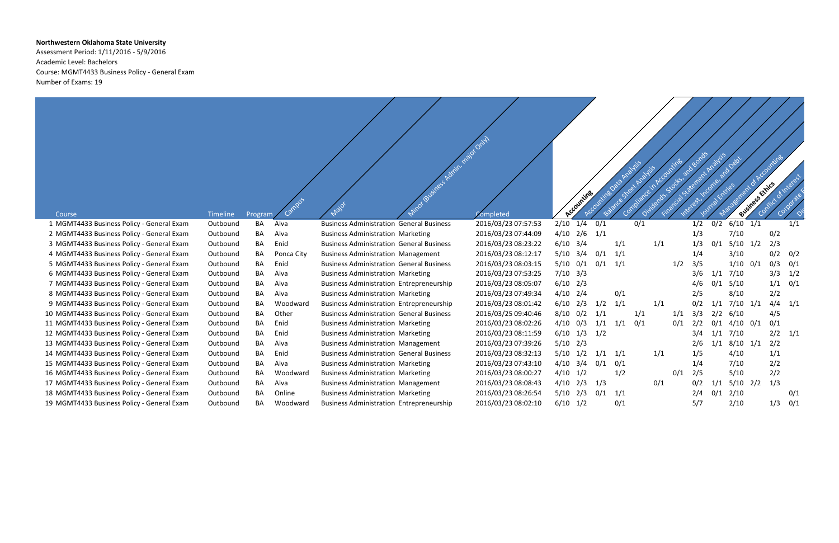## **Northwestern Oklahoma State University**

Assessment Period: 1/11/2016 - 5/9/2016 Academic Level: Bachelors Course: MGMT4433 Business Policy - General Exam Number of Exams: 19

|                                            |                 |           |            | Minor (Business Admin. major Only)              |                     | Accounting          |     |             |     |     | Analysis<br>Detail<br>Business Exhits |     |                |  |     |     |
|--------------------------------------------|-----------------|-----------|------------|-------------------------------------------------|---------------------|---------------------|-----|-------------|-----|-----|---------------------------------------|-----|----------------|--|-----|-----|
| Course                                     | <b>Timeline</b> | Program   |            |                                                 | Completed           |                     |     |             |     |     |                                       |     |                |  |     |     |
| 1 MGMT4433 Business Policy - General Exam  | Outbound        | BA        | Alva       | <b>Business Administration General Business</b> | 2016/03/23 07:57:53 | 2/10<br>1/4         | 0/1 |             | 0/1 |     | 1/2                                   | 0/2 | $6/10$ $1/1$   |  |     | 1/1 |
| 2 MGMT4433 Business Policy - General Exam  | Outbound        | BA        | Alva       | <b>Business Administration Marketing</b>        | 2016/03/23 07:44:09 | $4/10$ 2/6          | 1/1 |             |     |     | 1/3                                   |     | 7/10           |  | 0/2 |     |
| 3 MGMT4433 Business Policy - General Exam  | Outbound        | <b>BA</b> | Enid       | <b>Business Administration General Business</b> | 2016/03/23 08:23:22 | $6/10$ $3/4$        |     | 1/1         | 1/1 |     | 1/3                                   | 0/1 | $5/10$ $1/2$   |  | 2/3 |     |
| 4 MGMT4433 Business Policy - General Exam  | Outbound        | BA        | Ponca City | <b>Business Administration Management</b>       | 2016/03/23 08:12:17 | 5/10<br>3/4         | 0/1 | 1/1         |     |     | 1/4                                   |     | 3/10           |  | 0/2 | 0/2 |
| 5 MGMT4433 Business Policy - General Exam  | Outbound        | BA        | Enid       | <b>Business Administration General Business</b> | 2016/03/23 08:03:15 | 5/10<br>0/1         | 0/1 | 1/1         |     | 1/2 | 3/5                                   |     | $1/10$ $0/1$   |  | 0/3 | 0/1 |
| 6 MGMT4433 Business Policy - General Exam  | Outbound        | BA        | Alva       | <b>Business Administration Marketing</b>        | 2016/03/23 07:53:25 | $7/10$ 3/3          |     |             |     |     | 3/6                                   | 1/1 | 7/10           |  | 3/3 | 1/2 |
| 7 MGMT4433 Business Policy - General Exam  | Outbound        | BA        | Alva       | <b>Business Administration Entrepreneurship</b> | 2016/03/23 08:05:07 | $6/10$ 2/3          |     |             |     |     | 4/6                                   |     | $0/1$ 5/10     |  | 1/1 | 0/1 |
| 8 MGMT4433 Business Policy - General Exam  | Outbound        | <b>BA</b> | Alva       | <b>Business Administration Marketing</b>        | 2016/03/23 07:49:34 | $4/10$ 2/4          |     | 0/1         |     |     | 2/5                                   |     | 8/10           |  | 2/2 |     |
| 9 MGMT4433 Business Policy - General Exam  | Outbound        | BA        | Woodward   | <b>Business Administration Entrepreneurship</b> | 2016/03/23 08:01:42 | 2/3<br>6/10         | 1/2 | 1/1         | 1/1 |     | 0/2                                   | 1/1 | $7/10$ $1/1$   |  | 4/4 | 1/1 |
| 10 MGMT4433 Business Policy - General Exam | Outbound        | BA        | Other      | <b>Business Administration General Business</b> | 2016/03/25 09:40:46 | 8/10<br>0/2         | 1/1 |             | 1/1 | 1/1 | 3/3                                   | 2/2 | 6/10           |  | 4/5 |     |
| 11 MGMT4433 Business Policy - General Exam | Outbound        | BA        | Enid       | <b>Business Administration Marketing</b>        | 2016/03/23 08:02:26 | 4/10<br>0/3         | 1/1 | 1/1         | 0/1 | 0/1 | 2/2                                   | 0/1 | $4/10$ 0/1     |  | 0/1 |     |
| 12 MGMT4433 Business Policy - General Exam | Outbound        | BA        | Enid       | <b>Business Administration Marketing</b>        | 2016/03/23 08:11:59 | 6/10<br>$1/3$ $1/2$ |     |             |     |     | 3/4                                   |     | $1/1$ $7/10$   |  | 2/2 | 1/1 |
| 13 MGMT4433 Business Policy - General Exam | Outbound        | BA        | Alva       | <b>Business Administration Management</b>       | 2016/03/23 07:39:26 | $5/10$ $2/3$        |     |             |     |     | 2/6                                   |     | $1/1$ 8/10 1/1 |  | 2/2 |     |
| 14 MGMT4433 Business Policy - General Exam | Outbound        | BA        | Enid       | <b>Business Administration General Business</b> | 2016/03/23 08:32:13 | $5/10$ $1/2$        |     | $1/1$ $1/1$ | 1/1 |     | 1/5                                   |     | 4/10           |  | 1/1 |     |
| 15 MGMT4433 Business Policy - General Exam | Outbound        | BA        | Alva       | <b>Business Administration Marketing</b>        | 2016/03/23 07:43:10 | $4/10$ 3/4          | 0/1 | 0/1         |     |     | 1/4                                   |     | 7/10           |  | 2/2 |     |
| 16 MGMT4433 Business Policy - General Exam | Outbound        | BA        | Woodward   | <b>Business Administration Marketing</b>        | 2016/03/23 08:00:27 | $4/10$ $1/2$        |     | 1/2         |     | 0/1 | 2/5                                   |     | 5/10           |  | 2/2 |     |
| 17 MGMT4433 Business Policy - General Exam | Outbound        | BA        | Alva       | <b>Business Administration Management</b>       | 2016/03/23 08:08:43 | $4/10$ $2/3$ $1/3$  |     |             | 0/1 |     | 0/2                                   | 1/1 | $5/10$ 2/2     |  | 1/3 |     |
| 18 MGMT4433 Business Policy - General Exam | Outbound        | BA        | Online     | <b>Business Administration Marketing</b>        | 2016/03/23 08:26:54 | $5/10$ 2/3          | 0/1 | 1/1         |     |     | 2/4                                   | 0/1 | 2/10           |  |     | 0/1 |
| 19 MGMT4433 Business Policy - General Exam | Outbound        | BA        | Woodward   | <b>Business Administration Entrepreneurship</b> | 2016/03/23 08:02:10 | $6/10$ $1/2$        |     | 0/1         |     |     | 5/7                                   |     | 2/10           |  | 1/3 | 0/1 |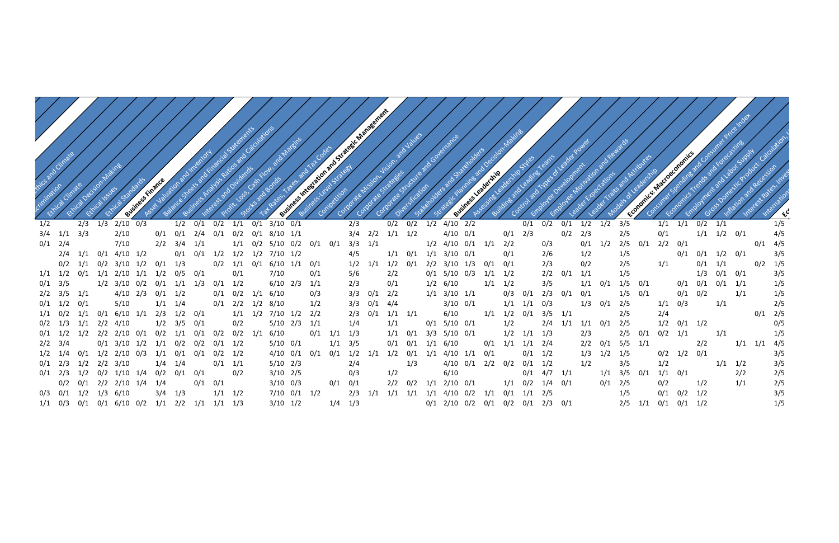

| 3/5 |     | 1/1 | 1/1 | 0/2 | 1/1 |     |     | 1/5 |
|-----|-----|-----|-----|-----|-----|-----|-----|-----|
| 2/5 |     | 0/1 |     | 1/1 | 1/2 | 0/1 |     | 4/5 |
| 2/5 | 0/1 | 2/2 | 0/1 |     |     |     | 0/1 | 4/5 |
| 1/5 |     |     | 0/1 | 0/1 | 1/2 | 0/1 |     | 3/5 |
| 2/5 |     | 1/1 |     | 0/1 | 1/1 |     | 0/2 | 1/5 |
| 1/5 |     |     |     | 1/3 | 0/1 | 0/1 |     | 3/5 |
| 1/5 | 0/1 |     | 0/1 | 0/1 | 0/1 | 1/1 |     | 1/5 |
| 1/5 | 0/1 |     | 0/1 | 0/2 |     | 1/1 |     | 1/5 |
| 2/5 |     | 1/1 | 0/3 |     | 1/1 |     |     | 2/5 |
| 2/5 |     | 2/4 |     |     |     |     | 0/1 | 2/5 |
| 2/5 |     | 1/2 | 0/1 | 1/2 |     |     |     | 0/5 |
| 2/5 | 0/1 | 0/2 | 1/1 |     | 1/1 |     |     | 1/5 |
| 5/5 | 1/1 |     |     | 2/2 |     | 1/1 | 1/1 | 4/5 |
| 1/5 |     | 0/2 | 1/2 | 0/1 |     |     |     | 3/5 |
| 3/5 |     | 1/2 |     |     | 1/1 | 1/2 |     | 3/5 |
| 3/5 | 0/1 | 1/1 | 0/1 |     |     | 2/2 |     | 2/5 |
| 2/5 |     | 0/2 |     | 1/2 |     | 1/1 |     | 2/5 |
| 1/5 |     | 0/1 | 0/2 | 1/2 |     |     |     | 3/5 |
| 2/5 | 1/1 | 0/1 | 0/1 | 1/2 |     |     |     | 1/5 |

Critication Climate chimication Etion climate Ethical Decision Ratina etisch Kyles Ethical Standards Finance Assets Assets Assets Assets Balance Sheets and Financial Statements and Financial Statements and Business Analysis Rations Calculations Interest and Dividends Political de la programa de la programa de la programa de la programa de la programa de la programa de la programa de la programa de la programa de la programa de la programa de la programa de la programa de la programa de Diversification Stakeholders and Shareholdership Stakeholdership Stakeholdership Stakeholdership Stakeholdership Stakeholdership Stakeholdership Stakeholdership Stakeholdership Stakeholdership Stakeholdership Stakeholdership Stakeholdersh Control and Types of Leader Power Employee Development Leader Lager Latitude 1/2 2/3 1/3 2/10 0/3 1/2 0/1 0/2 1/1 0/1 3/10 0/1 2/3 0/2 0/2 1/2 4/10 2/2 0/1 0/2 0/1 1/2 1/2 3/5 1/1 1/1 0/2 1/1 1/5 3/4 1/1 3/3 2/10 0/1 0/1 2/4 0/1 0/2 0/1 8/10 1/1 3/4 2/2 1/1 1/2 4/10 0/1 0/1 2/3 0/2 2/3 0/1 2/4 7/10 2/2 3/4 1/1 1/1 0/2 5/10 0/2 0/1 0/1 3/3 1/1 1/2 4/10 0/1 1/1 2/2 0/3 0/1 1/2 2/4 1/1 0/1 4/10 1/2 0/1 0/1 1/2 1/2 1/2 7/10 1/2 4/5 1/1 0/1 1/1 3/10 0/1 0/1 2/6 1/2 1/5 0/1 0/1 1/2 0/1 3/5 0/2 1/1 0/2 3/10 1/2 0/1 1/3 0/2 1/1 0/1 6/10 1/1 0/1 1/2 1/1 1/2 0/1 2/2 3/10 1/3 0/1 0/1 2/3 0/2 1/1 1/2 0/1 1/1 2/10 1/1 1/2 0/5 0/1 0/1 7/10 0/1 5/6 2/2 0/1 5/10 0/3 1/1 1/2 2/2 0/1 1/1 1/5 1/3 0/1 0/1 3/5 0/1 3/5 1/2 3/10 0/2 0/1 1/1 1/3 0/1 1/2 6/10 2/3 1/1 2/3 0/1 1/2 6/10 1/1 1/2 3/5 1/1 0/1 1/5 0/1 0/1 0/1 0/1 1/1 1/5 2/2 3/5 1/1 4/10 2/3 0/1 1/2 0/1 0/2 1/1 6/10 0/3 3/3 0/1 2/2 1/1 3/10 1/1 0/3 0/1 2/3 0/1 0/1 0/1 1/2 0/1 5/10 1/1 1/4 0/1 2/2 1/2 8/10 1/2 3/3 0/1 4/4 3/10 0/1 1/1 1/1 0/3 1/3 0/1 2/5 1/1 0/3 1/1 2/5 1/1 0/2 1/1 0/1 6/10 1/1 2/3 1/2 0/1 1/1 1/2 7/10 1/2 2/2 2/3 0/1 1/1 1/1 6/10 1/1 1/2 0/1 3/5 1/1 2/5 2/4 0/1 2/5 0/2 1/3 1/1 2/2 4/10 1/2 3/5 0/1 0/2 5/10 2/3 1/1 1/4 1/1 0/1 5/10 0/1 1/2 2/4 1/1 1/1 0/1 2/5 1/2 0/1 1/2 0/5 0/1 1/2 1/2 2/2 2/10 0/1 0/2 1/1 0/1 0/2 0/2 1/1 6/10 0/1 1/1 1/3 1/1 0/1 3/3 5/10 0/1 1/2 1/1 1/3 2/3 2/5 0/1 0/2 1/1 1/1 1/5 2/2 3/4 0/1 3/10 1/2 1/1 0/2 0/2 0/1 1/2 5/10 0/1 1/1 3/5 0/1 0/1 1/1 6/10 0/1 1/1 1/1 2/4 2/2 0/1 5/5 1/1 2/2 1/1 1/1 4/5 1/2 1/4 0/1 1/2 2/10 0/3 1/1 0/1 0/1 0/2 1/2 4/10 0/1 0/1 0/1 1/2 1/1 1/2 0/1 1/1 4/10 1/1 0/1 0/1 1/2 1/3 1/2 1/5 0/2 1/2 0/1 3/5 0/1 2/3 1/2 2/2 3/10 1/4 1/4 0/1 1/1 5/10 2/3 2/4 1/3 4/10 0/1 2/2 0/2 0/1 1/2 1/2 0/1 2/3 1/2 0/2 1/10 1/4 0/2 0/1 0/1 0/2 3/10 2/5 0/3 1/2 6/10 0/1 4/7 1/1 1/1 3/5 0/1 1/1 0/1 2/2 2/5 0/2 0/1 2/2 2/10 1/4 1/4 0/1 0/1 0/1 3/10 0/3 0/1 0/1 2/2 0/2 1/1 2/10 0/1 1/1 0/2 1/4 0/1 0/1 0/3 0/1 1/2 1/3 6/10 3/4 1/3 1/1 1/2 7/10 0/1 1/2 2/3 1/1 1/1 1/1 1/1 4/10 0/2 1/1 0/1 1/1 2/5 1/5 0/1 0/2 1/2 3/5 1/1 0/3 0/1 0/1 6/10 0/2 1/1 2/2 1/1 1/1 1/3 3/10 1/2 1/4 1/3 0/1 2/10 0/2 0/1 0/2 0/1 2/3 0/1 2/5 1/1 0/1 0/1 1/2 1/5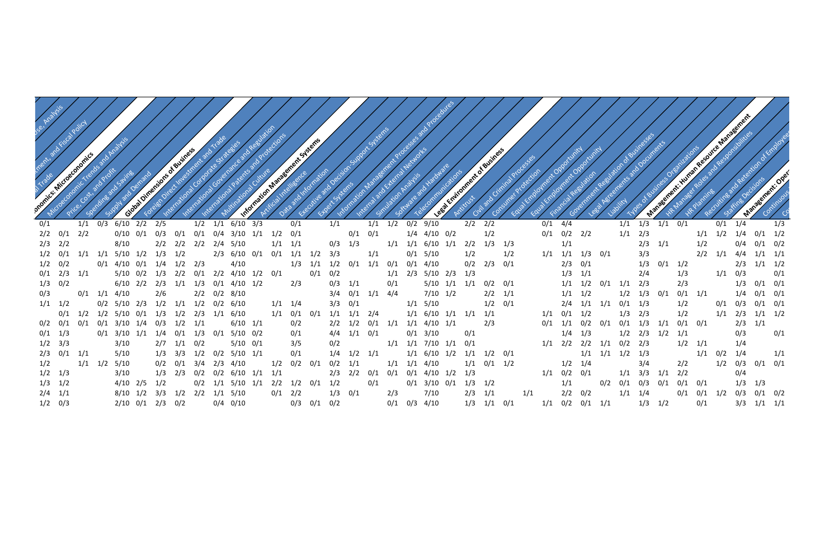| Management: Human Resource Management                                                                                                                                                                    |  |
|----------------------------------------------------------------------------------------------------------------------------------------------------------------------------------------------------------|--|
|                                                                                                                                                                                                          |  |
|                                                                                                                                                                                                          |  |
|                                                                                                                                                                                                          |  |
|                                                                                                                                                                                                          |  |
|                                                                                                                                                                                                          |  |
|                                                                                                                                                                                                          |  |
| 1/2 Margaret Road Responsibilities<br>Recurring and Relation of Employee<br>I I MERIT RESURTION OF BUSINESS OF<br>esa herearients and Documents<br>Vacso d'evenir de la régnitations<br>Management: Oper |  |
|                                                                                                                                                                                                          |  |

| 1/1 | 1/3 | 1/1 | 0/1 |     | 0/1 | 1/4 |     | 1/3 |
|-----|-----|-----|-----|-----|-----|-----|-----|-----|
| 1/1 | 2/3 |     |     | 1/1 | 1/2 | 1/4 | 0/1 | 1/2 |
|     | 2/3 | 1/1 |     | 1/2 |     | 0/4 | 0/1 | 0/2 |
|     | 3/3 |     |     | 2/2 | 1/1 | 4/4 | 1/1 | 1/1 |
|     | 1/3 | 0/1 | 1/2 |     |     | 2/3 | 1/1 | 1/2 |
|     | 2/4 |     | 1/3 |     | 1/1 | 0/3 |     | 0/1 |
| 1/1 | 2/3 |     | 2/3 |     |     | 1/3 | 0/1 | 0/1 |
| 1/2 | 1/3 | 0/1 | 0/1 | 1/1 |     | 1/4 | 0/1 | 0/1 |
| 0/1 | 1/3 |     | 1/2 |     | 0/1 | 0/3 | 0/1 | 0/1 |
| 1/3 | 2/3 |     | 1/2 |     | 1/1 | 2/3 | 1/1 | 1/2 |
| 0/1 | 1/3 | 1/1 | 0/1 | 0/1 |     | 2/3 | 1/1 |     |
| 1/2 | 2/3 | 1/2 | 1/1 |     |     | 0/3 |     | 0/1 |
| 0/2 | 2/3 |     | 1/2 | 1/1 |     | 1/4 |     |     |
| 1/2 | 1/3 |     |     | 1/1 | 0/2 | 1/4 |     | 1/1 |
|     | 3/4 |     | 2/2 |     | 1/2 | 0/3 | 0/1 | 0/1 |
| 1/1 | 3/3 | 1/1 | 2/2 |     |     | 0/4 |     |     |
| 0/1 | 0/3 | 0/1 | 0/1 | 0/1 |     | 1/3 | 1/3 |     |
| 1/1 | 1/4 |     | 0/1 | 0/1 | 1/2 | 0/3 | 0/1 | 0/2 |
|     | 1/3 | 1/2 |     | 0/1 |     | 3/3 | 1/1 | 1/1 |

Dominic Products: Calculation, Use, Analysis<br>Products: Calculation, Use, Analysis<br>Dominic Products International Trends and Profits and Fiscal Policy and Analysis<br>Price, Cost, and Policy and Profits<br>Price, Cost, and Profits and Profits supply advantages Global Dimensions of Business and Trade Strategies international contraction and the response of the contraction of the and contraction of the contraction of the contraction of the contraction of the contraction of the contraction of the contraction of the contraction of t Information Management Procedures and Protections and Protections Internal and Extra Assembly ase ckerce Analysis Equal Employment Opportunity Equal Employee of Proportunity Financial Regulation 0/1 1/1 0/3 6/10 2/2 2/5 1/2 1/1 6/10 3/3 0/1 1/1 1/1 1/2 0/2 9/10 2/2 2/2 0/1 4/4 1/1 1/3 1/1 0/1 0/1 1/4 1/3 2/2 0/1 2/2 0/10 0/1 0/3 0/1 0/1 0/4 3/10 1/1 1/2 0/1 0/1 0/1 0/1 1/4 4/10 0/2 1/2 0/1 0/1 0/2 2/2 2/3 2/2 8/10 2/2 2/2 2/4 5/10 1/1 1/1 0/3 1/3 1/1 1/1 6/10 1/1 2/2 1/3 1/3 1/1 1/2 0/1 1/1 1/1 5/10 1/2 1/3 1/2 2/3 6/10 0/1 0/1 1/1 1/2 3/3 1/1 0/1 5/10 1/2 1/2 1/1 1/1 1/3 0/1 3/3 2/2 1/1 4/4 1/1 1/1 1/2 0/2 0/1 4/10 0/1 1/4 1/2 2/3 4/10 1/3 1/1 1/2 0/1 1/1 0/1 0/1 4/10 0/2 2/3 0/1 2/3 0/1 1/3 0/1 1/2 2/3 1/1 1/2 0/1 2/3 1/1 5/10 0/2 1/3 2/2 0/1 2/2 4/10 1/2 0/1 0/1 0/2 1/1 2/3 5/10 2/3 1/3 1/3 1/1 1/3 0/2 6/10 2/2 2/3 1/1 1/3 0/1 4/10 1/2 2/3 0/3 1/1 0/1 5/10 1/1 1/1 0/2 0/1 1/1 1/2 0/1 1/1 2/3 2/3 1/3 0/1 0/1 0/3 0/1 1/1 4/10 2/6 2/2 0/2 8/10 3/4 0/1 1/1 4/4 7/10 1/2 2/2 1/1 1/1 1/2 1/2 1/3 0/1 0/1 1/1 1/4 0/1 0/1 1/1 1/2 0/2 5/10 2/3 1/2 1/1 1/2 0/2 6/10 1/1 1/4 3/3 0/1 1/1 5/10 1/2 0/1 2/4 1/1 1/1 0/1 1/3 1/2 0/1 0/3 0/1 0/1 0/1 1/2 1/2 5/10 0/1 1/3 1/2 2/3 1/1 6/10 1/1 0/1 0/1 1/1 1/1 2/4 1/1 6/10 1/1 1/1 1/1 1/1 0/1 1/2 1/3 2/3 1/2 1/1 2/3 1/1 1/2 0/2 0/1 0/1 0/1 3/10 1/4 0/3 1/2 1/1 6/10 1/1 0/2 2/2 1/2 0/1 1/1 1/1 4/10 1/1 2/3 0/1 1/1 0/2 0/1 0/1 1/3 0/1 3/10 1/1 1/4 0/1 1/3 0/1 5/10 0/2 0/1 4/4 1/1 0/1 0/1 3/10 0/1 1 1/4 1/3 1/2 3/3 3/10 2/7 1/1 0/2 5/10 0/1 3/5 0/2 1/1 1/1 7/10 1/1 0/1 1/1 2/2 2/2 1/1 0/2 2/3 1/2 1/1 1/4 2/3 0/1 1/1 5/10 1/3 3/3 1/2 0/2 5/10 1/1 0/1 1/4 1/2 1/1 1/1 6/10 1/2 1/1 1/2 0/1 1/1 1/1 1/2 1/3 1/1 0/2 1/4 1/1 1/2 1/1 1/2 5/10 0/2 0/1 3/4 2/3 4/10 1/2 0/2 0/1 0/2 1/1 1/1 1/1 4/10 1/1 0/1 1/2 1/2 1/4 3/4 2/2 1/2 0/3 0/1 0/1 1/2 1/3 3/10 1/3 2/3 0/2 0/2 6/10 1/1 1/1 2/3 2/2 0/1 0/1 0/1 4/10 1/2 1/3 1/1 0/2 0/1 1/1 3/3 1/1 2/2 0/4 1/3 1/2 4/10 2/5 1/2 0/2 1/1 5/10 1/1 2/2 1/2 0/1 1/2 0/1 0/1 3/10 0/1 1/3 1/2 1/1 0/2 0/1 0/3 0/1 0/1 0/1 1/3 1/3 2/4 1/1 8/10 1/2 3/3 1/2 2/2 1/1 5/10 0/1 2/2 1/3 0/1 2/3 7/10 2/3 1/1 1/1 2/2 0/2 1/2 0/3 2/10 0/1 2/3 0/2 0/4 0/10 0/3 0/1 0/2 0/1 0/3 4/10 1/3 1/1 0/1 1/1 0/2 0/1 1/1 1/3 1/2 0/1 3/3 1/1 1/1